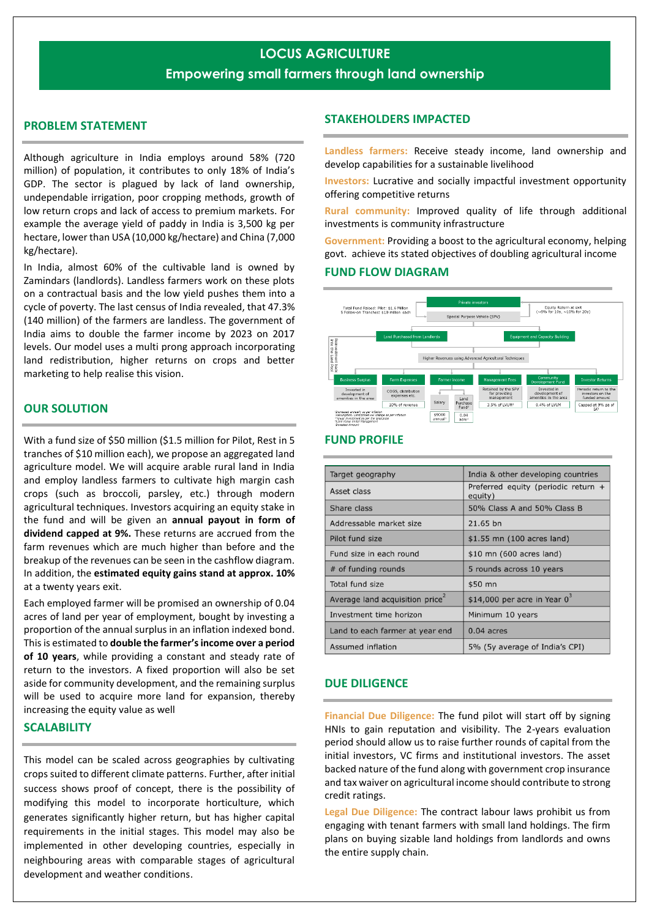# **LOCUS AGRICULTURE**

# **Empowering small farmers through land ownership**

# **PROBLEM STATEMENT**

Although agriculture in India employs around 58% (720 million) of population, it contributes to only 18% of India's GDP. The sector is plagued by lack of land ownership, undependable irrigation, poor cropping methods, growth of low return crops and lack of access to premium markets. For example the average yield of paddy in India is 3,500 kg per hectare, lower than USA (10,000 kg/hectare) and China (7,000 kg/hectare).

In India, almost 60% of the cultivable land is owned by Zamindars (landlords). Landless farmers work on these plots on a contractual basis and the low yield pushes them into a cycle of poverty. The last census of India revealed, that 47.3% (140 million) of the farmers are landless. The government of India aims to double the farmer income by 2023 on 2017 levels. Our model uses a multi prong approach incorporating land redistribution, higher returns on crops and better marketing to help realise this vision.

## **OUR SOLUTION**

With a fund size of \$50 million (\$1.5 million for Pilot, Rest in 5 tranches of \$10 million each), we propose an aggregated land agriculture model. We will acquire arable rural land in India and employ landless farmers to cultivate high margin cash crops (such as broccoli, parsley, etc.) through modern agricultural techniques. Investors acquiring an equity stake in the fund and will be given an **annual payout in form of dividend capped at 9%.** These returns are accrued from the farm revenues which are much higher than before and the breakup of the revenues can be seen in the cashflow diagram. In addition, the **estimated equity gains stand at approx. 10%** at a twenty years exit.

Each employed farmer will be promised an ownership of 0.04 acres of land per year of employment, bought by investing a proportion of the annual surplus in an inflation indexed bond. This is estimated to **double the farmer's income over a period of 10 years**, while providing a constant and steady rate of return to the investors. A fixed proportion will also be set aside for community development, and the remaining surplus will be used to acquire more land for expansion, thereby increasing the equity value as well

#### **SCALABILITY**

This model can be scaled across geographies by cultivating crops suited to different climate patterns. Further, after initial success shows proof of concept, there is the possibility of modifying this model to incorporate horticulture, which generates significantly higher return, but has higher capital requirements in the initial stages. This model may also be implemented in other developing countries, especially in neighbouring areas with comparable stages of agricultural development and weather conditions.

### **STAKEHOLDERS IMPACTED**

**Landless farmers:** Receive steady income, land ownership and develop capabilities for a sustainable livelihood

**Investors:** Lucrative and socially impactful investment opportunity offering competitive returns

**Rural community:** Improved quality of life through additional investments is community infrastructure

**Government:** Providing a boost to the agricultural economy, helping govt. achieve its stated objectives of doubling agricultural income

#### **FUND FLOW DIAGRAM**



#### **FUND PROFILE**

| Target geography                            | India & other developing countries             |
|---------------------------------------------|------------------------------------------------|
| Asset class                                 | Preferred equity (periodic return +<br>equity) |
| Share class                                 | 50% Class A and 50% Class B                    |
| Addressable market size                     | 21.65 bn                                       |
| Pilot fund size                             | \$1.55 mn (100 acres land)                     |
| Fund size in each round                     | \$10 mn (600 acres land)                       |
| # of funding rounds                         | 5 rounds across 10 years                       |
| Total fund size                             | \$50 mn                                        |
| Average land acquisition price <sup>2</sup> | \$14,000 per acre in Year $0^3$                |
| Investment time horizon                     | Minimum 10 years                               |
| Land to each farmer at year end             | $0.04$ acres                                   |
| Assumed inflation                           | 5% (5y average of India's CPI)                 |

#### **DUE DILIGENCE**

**Financial Due Diligence:** The fund pilot will start off by signing HNIs to gain reputation and visibility. The 2-years evaluation period should allow us to raise further rounds of capital from the initial investors, VC firms and institutional investors. The asset backed nature of the fund along with government crop insurance and tax waiver on agricultural income should contribute to strong credit ratings.

**Legal Due Diligence:** The contract labour laws prohibit us from engaging with tenant farmers with small land holdings. The firm plans on buying sizable land holdings from landlords and owns the entire supply chain.